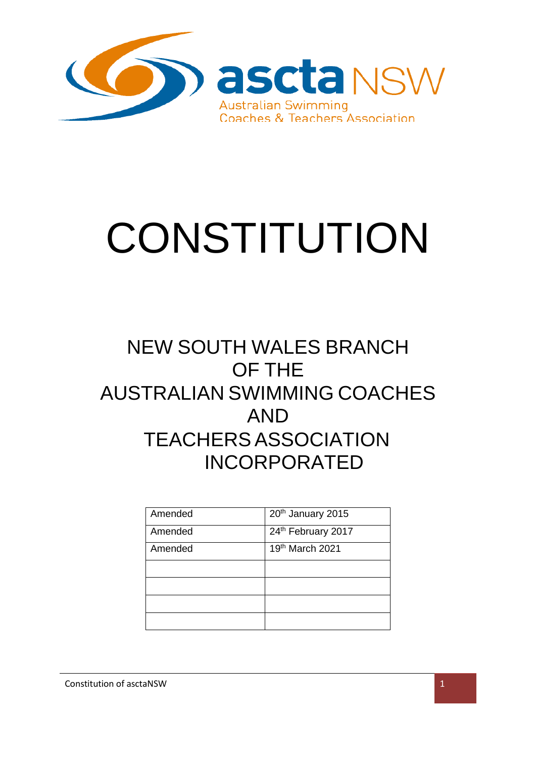

# **CONSTITUTION**

# NEW SOUTH WALES BRANCH OF THE AUSTRALIAN SWIMMING COACHES AND TEACHERSASSOCIATION INCORPORATED

| Amended | 20th January 2015  |
|---------|--------------------|
| Amended | 24th February 2017 |
| Amended | 19th March 2021    |
|         |                    |
|         |                    |
|         |                    |
|         |                    |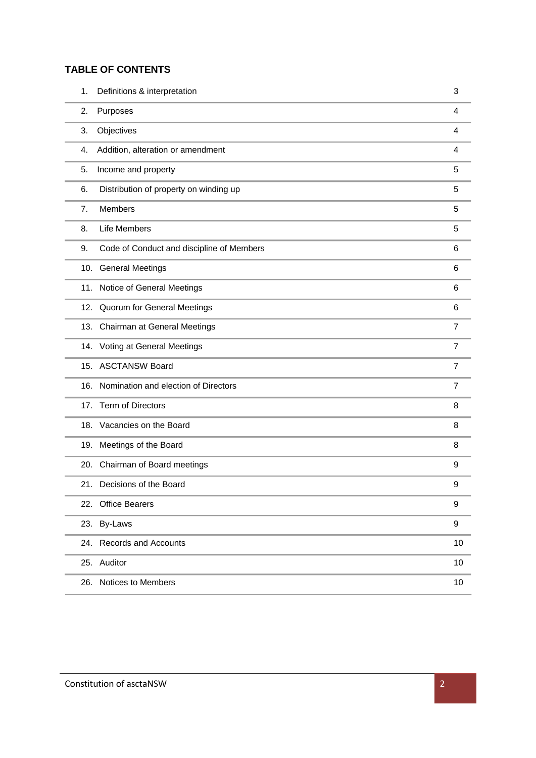### **TABLE OF CONTENTS**

| 1.  | Definitions & interpretation              | 3              |
|-----|-------------------------------------------|----------------|
| 2.  | Purposes                                  | 4              |
| 3.  | Objectives                                | 4              |
| 4.  | Addition, alteration or amendment         | 4              |
| 5.  | Income and property                       | 5              |
| 6.  | Distribution of property on winding up    | 5              |
| 7.  | <b>Members</b>                            | 5              |
| 8.  | Life Members                              | 5              |
| 9.  | Code of Conduct and discipline of Members | 6              |
|     | 10. General Meetings                      | 6              |
|     | 11. Notice of General Meetings            | 6              |
|     | 12. Quorum for General Meetings           | 6              |
|     | 13. Chairman at General Meetings          | $\overline{7}$ |
|     | 14. Voting at General Meetings            | $\overline{7}$ |
|     | 15. ASCTANSW Board                        | 7              |
| 16. | Nomination and election of Directors      | $\overline{7}$ |
| 17. | <b>Term of Directors</b>                  | 8              |
|     | 18. Vacancies on the Board                | 8              |
| 19. | Meetings of the Board                     | 8              |
|     | 20. Chairman of Board meetings            | 9              |
|     | 21. Decisions of the Board                | 9              |
| 22. | <b>Office Bearers</b>                     | 9              |
|     | 23. By-Laws                               | 9              |
|     | 24. Records and Accounts                  | 10             |
|     | 25. Auditor                               | 10             |
|     | 26. Notices to Members                    | 10             |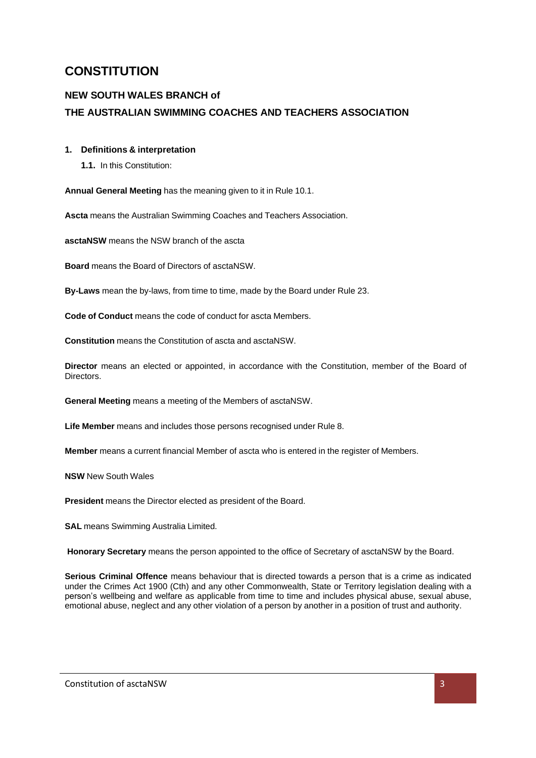# **CONSTITUTION**

## **NEW SOUTH WALES BRANCH of THE AUSTRALIAN SWIMMING COACHES AND TEACHERS ASSOCIATION**

#### <span id="page-2-0"></span>**1. Definitions & interpretation**

**1.1.** In this Constitution:

**Annual General Meeting** has the meaning given to it in Rule 10.1.

**Ascta** means the Australian Swimming Coaches and Teachers Association.

**asctaNSW** means the NSW branch of the ascta

**Board** means the Board of Directors of asctaNSW.

**By-Laws** mean the by-laws, from time to time, made by the Board under Rule 23.

**Code of Conduct** means the code of conduct for ascta Members.

**Constitution** means the Constitution of ascta and asctaNSW.

**Director** means an elected or appointed, in accordance with the Constitution, member of the Board of Directors.

**General Meeting** means a meeting of the Members of asctaNSW.

**Life Member** means and includes those persons recognised under Rule 8.

**Member** means a current financial Member of ascta who is entered in the register of Members.

**NSW** New South Wales

**President** means the Director elected as president of the Board.

**SAL** means Swimming Australia Limited.

**Honorary Secretary** means the person appointed to the office of Secretary of asctaNSW by the Board.

**Serious Criminal Offence** means behaviour that is directed towards a person that is a crime as indicated under the Crimes Act 1900 (Cth) and any other Commonwealth, State or Territory legislation dealing with a person's wellbeing and welfare as applicable from time to time and includes physical abuse, sexual abuse, emotional abuse, neglect and any other violation of a person by another in a position of trust and authority.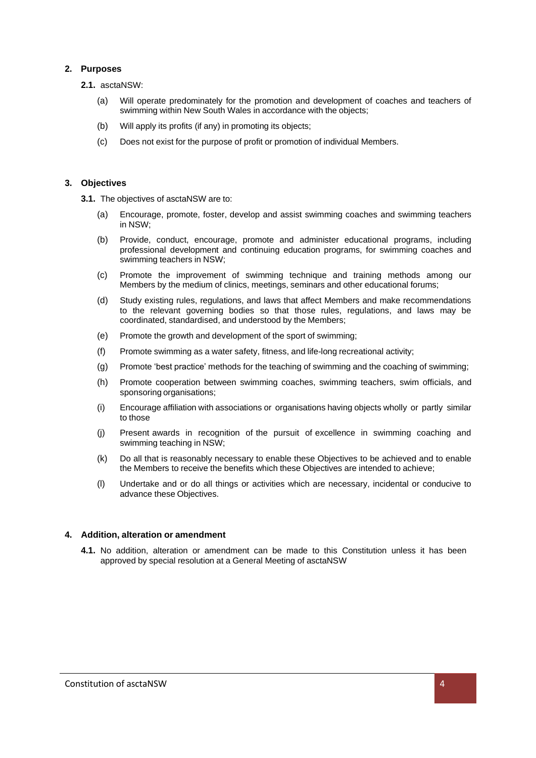#### <span id="page-3-0"></span>**2. Purposes**

- **2.1.** asctaNSW:
	- (a) Will operate predominately for the promotion and development of coaches and teachers of swimming within New South Wales in accordance with the objects;
	- (b) Will apply its profits (if any) in promoting its objects;
	- (c) Does not exist for the purpose of profit or promotion of individual Members.

#### <span id="page-3-1"></span>**3. Objectives**

**3.1.** The objectives of asctaNSW are to:

- Encourage, promote, foster, develop and assist swimming coaches and swimming teachers in NSW;
- (b) Provide, conduct, encourage, promote and administer educational programs, including professional development and continuing education programs, for swimming coaches and swimming teachers in NSW;
- (c) Promote the improvement of swimming technique and training methods among our Members by the medium of clinics, meetings, seminars and other educational forums;
- (d) Study existing rules, regulations, and laws that affect Members and make recommendations to the relevant governing bodies so that those rules, regulations, and laws may be coordinated, standardised, and understood by the Members;
- (e) Promote the growth and development of the sport of swimming;
- (f) Promote swimming as a water safety, fitness, and life-long recreational activity;
- (g) Promote 'best practice' methods for the teaching of swimming and the coaching of swimming;
- (h) Promote cooperation between swimming coaches, swimming teachers, swim officials, and sponsoring organisations;
- (i) Encourage affiliation with associations or organisations having objects wholly or partly similar to those
- (j) Present awards in recognition of the pursuit of excellence in swimming coaching and swimming teaching in NSW;
- (k) Do all that is reasonably necessary to enable these Objectives to be achieved and to enable the Members to receive the benefits which these Objectives are intended to achieve;
- (l) Undertake and or do all things or activities which are necessary, incidental or conducive to advance these Objectives.

#### <span id="page-3-2"></span>**4. Addition, alteration or amendment**

**4.1.** No addition, alteration or amendment can be made to this Constitution unless it has been approved by special resolution at a General Meeting of asctaNSW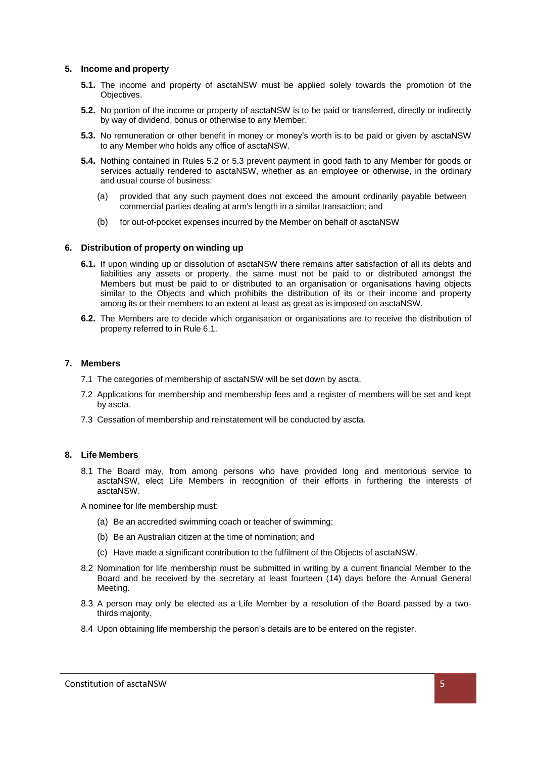#### <span id="page-4-0"></span>**5. Income and property**

- **5.1.** The income and property of asctaNSW must be applied solely towards the promotion of the Objectives.
- **5.2.** No portion of the income or property of asctaNSW is to be paid or transferred, directly or indirectly by way of dividend, bonus or otherwise to any Member.
- **5.3.** No remuneration or other benefit in money or money's worth is to be paid or given by asctaNSW to any Member who holds any office of asctaNSW.
- **5.4.** Nothing contained in Rules 5.2 or 5.3 prevent payment in good faith to any Member for goods or services actually rendered to asctaNSW, whether as an employee or otherwise, in the ordinary and usual course of business:
	- (a) provided that any such payment does not exceed the amount ordinarily payable between commercial parties dealing at arm's length in a similar transaction; and
	- (b) for out-of-pocket expenses incurred by the Member on behalf of asctaNSW

#### <span id="page-4-1"></span>**6. Distribution of property on winding up**

- **6.1.** If upon winding up or dissolution of asctaNSW there remains after satisfaction of all its debts and liabilities any assets or property, the same must not be paid to or distributed amongst the Members but must be paid to or distributed to an organisation or organisations having objects similar to the Objects and which prohibits the distribution of its or their income and property among its or their members to an extent at least as great as is imposed on asctaNSW.
- **6.2.** The Members are to decide which organisation or organisations are to receive the distribution of property referred to in Rule 6.1.

#### <span id="page-4-2"></span>**7. Members**

- 7.1 The categories of membership of asctaNSW will be set down by ascta.
- 7.2 Applications for membership and membership fees and a register of members will be set and kept by ascta.
- 7.3 Cessation of membership and reinstatement will be conducted by ascta.

#### <span id="page-4-3"></span>**8. Life Members**

8.1 The Board may, from among persons who have provided long and meritorious service to asctaNSW, elect Life Members in recognition of their efforts in furthering the interests of asctaNSW.

A nominee for life membership must:

- (a) Be an accredited swimming coach or teacher of swimming;
- (b) Be an Australian citizen at the time of nomination; and
- (c) Have made a significant contribution to the fulfilment of the Objects of asctaNSW.
- 8.2 Nomination for life membership must be submitted in writing by a current financial Member to the Board and be received by the secretary at least fourteen (14) days before the Annual General Meeting.
- 8.3 A person may only be elected as a Life Member by a resolution of the Board passed by a twothirds majority.
- 8.4 Upon obtaining life membership the person's details are to be entered on the register.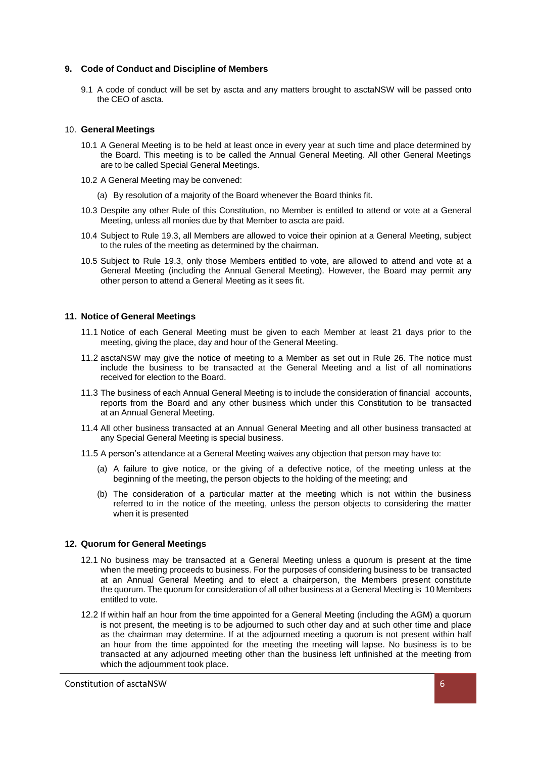#### <span id="page-5-0"></span>**9. Code of Conduct and Discipline of Members**

9.1 A code of conduct will be set by ascta and any matters brought to asctaNSW will be passed onto the CEO of ascta.

#### <span id="page-5-1"></span>10. **General Meetings**

- 10.1 A General Meeting is to be held at least once in every year at such time and place determined by the Board. This meeting is to be called the Annual General Meeting. All other General Meetings are to be called Special General Meetings.
- 10.2 A General Meeting may be convened:
	- (a) By resolution of a majority of the Board whenever the Board thinks fit.
- 10.3 Despite any other Rule of this Constitution, no Member is entitled to attend or vote at a General Meeting, unless all monies due by that Member to ascta are paid.
- 10.4 Subject to Rule 19.3, all Members are allowed to voice their opinion at a General Meeting, subject to the rules of the meeting as determined by the chairman.
- 10.5 Subject to Rule 19.3, only those Members entitled to vote, are allowed to attend and vote at a General Meeting (including the Annual General Meeting). However, the Board may permit any other person to attend a General Meeting as it sees fit.

#### <span id="page-5-2"></span>**11. Notice of General Meetings**

- 11.1 Notice of each General Meeting must be given to each Member at least 21 days prior to the meeting, giving the place, day and hour of the General Meeting.
- 11.2 asctaNSW may give the notice of meeting to a Member as set out in Rule 26. The notice must include the business to be transacted at the General Meeting and a list of all nominations received for election to the Board.
- 11.3 The business of each Annual General Meeting is to include the consideration of financial accounts, reports from the Board and any other business which under this Constitution to be transacted at an Annual General Meeting.
- 11.4 All other business transacted at an Annual General Meeting and all other business transacted at any Special General Meeting is special business.
- 11.5 A person's attendance at a General Meeting waives any objection that person may have to:
	- (a) A failure to give notice, or the giving of a defective notice, of the meeting unless at the beginning of the meeting, the person objects to the holding of the meeting; and
	- (b) The consideration of a particular matter at the meeting which is not within the business referred to in the notice of the meeting, unless the person objects to considering the matter when it is presented

#### <span id="page-5-3"></span>**12. Quorum for General Meetings**

- 12.1 No business may be transacted at a General Meeting unless a quorum is present at the time when the meeting proceeds to business. For the purposes of considering business to be transacted at an Annual General Meeting and to elect a chairperson, the Members present constitute the quorum. The quorum for consideration of all other business at a General Meeting is 10 Members entitled to vote.
- 12.2 If within half an hour from the time appointed for a General Meeting (including the AGM) a quorum is not present, the meeting is to be adjourned to such other day and at such other time and place as the chairman may determine. If at the adjourned meeting a quorum is not present within half an hour from the time appointed for the meeting the meeting will lapse. No business is to be transacted at any adjourned meeting other than the business left unfinished at the meeting from which the adjournment took place.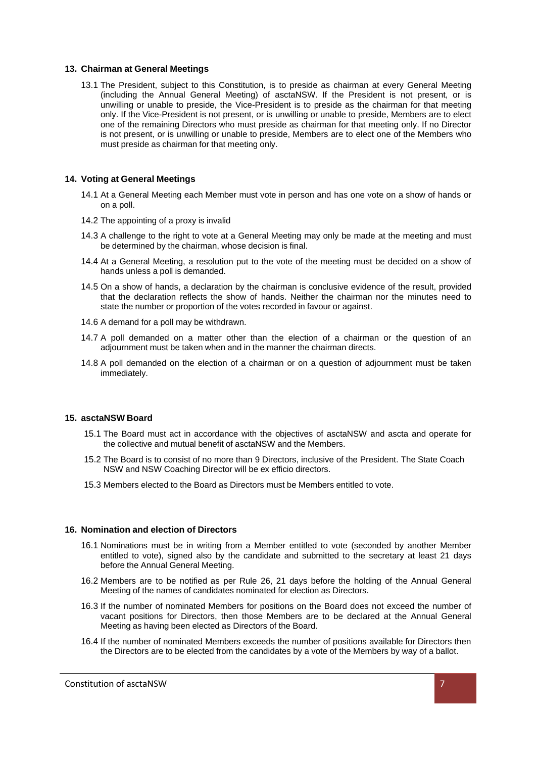#### <span id="page-6-0"></span>**13. Chairman at General Meetings**

13.1 The President, subject to this Constitution, is to preside as chairman at every General Meeting (including the Annual General Meeting) of asctaNSW. If the President is not present, or is unwilling or unable to preside, the Vice-President is to preside as the chairman for that meeting only. If the Vice-President is not present, or is unwilling or unable to preside, Members are to elect one of the remaining Directors who must preside as chairman for that meeting only. If no Director is not present, or is unwilling or unable to preside, Members are to elect one of the Members who must preside as chairman for that meeting only.

#### <span id="page-6-1"></span>**14. Voting at General Meetings**

- 14.1 At a General Meeting each Member must vote in person and has one vote on a show of hands or on a poll.
- 14.2 The appointing of a proxy is invalid
- 14.3 A challenge to the right to vote at a General Meeting may only be made at the meeting and must be determined by the chairman, whose decision is final.
- 14.4 At a General Meeting, a resolution put to the vote of the meeting must be decided on a show of hands unless a poll is demanded.
- 14.5 On a show of hands, a declaration by the chairman is conclusive evidence of the result, provided that the declaration reflects the show of hands. Neither the chairman nor the minutes need to state the number or proportion of the votes recorded in favour or against.
- 14.6 A demand for a poll may be withdrawn.
- 14.7 A poll demanded on a matter other than the election of a chairman or the question of an adjournment must be taken when and in the manner the chairman directs.
- 14.8 A poll demanded on the election of a chairman or on a question of adjournment must be taken immediately.

#### <span id="page-6-2"></span>**15. asctaNSW Board**

- 15.1 The Board must act in accordance with the objectives of asctaNSW and ascta and operate for the collective and mutual benefit of asctaNSW and the Members.
- 15.2 The Board is to consist of no more than 9 Directors, inclusive of the President. The State Coach NSW and NSW Coaching Director will be ex efficio directors.
- 15.3 Members elected to the Board as Directors must be Members entitled to vote.

#### <span id="page-6-3"></span>**16. Nomination and election of Directors**

- 16.1 Nominations must be in writing from a Member entitled to vote (seconded by another Member entitled to vote), signed also by the candidate and submitted to the secretary at least 21 days before the Annual General Meeting.
- 16.2 Members are to be notified as per Rule 26, 21 days before the holding of the Annual General Meeting of the names of candidates nominated for election as Directors.
- 16.3 If the number of nominated Members for positions on the Board does not exceed the number of vacant positions for Directors, then those Members are to be declared at the Annual General Meeting as having been elected as Directors of the Board.
- 16.4 If the number of nominated Members exceeds the number of positions available for Directors then the Directors are to be elected from the candidates by a vote of the Members by way of a ballot.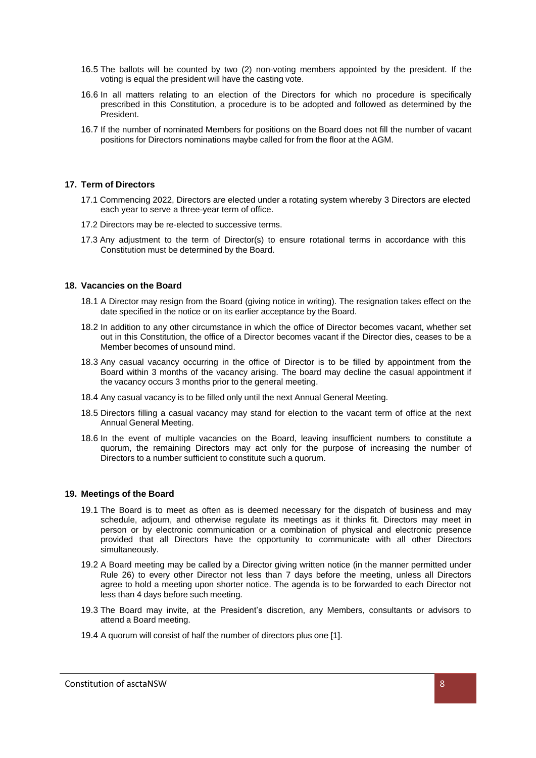- 16.5 The ballots will be counted by two (2) non-voting members appointed by the president. If the voting is equal the president will have the casting vote.
- 16.6 In all matters relating to an election of the Directors for which no procedure is specifically prescribed in this Constitution, a procedure is to be adopted and followed as determined by the President.
- 16.7 If the number of nominated Members for positions on the Board does not fill the number of vacant positions for Directors nominations maybe called for from the floor at the AGM.

#### <span id="page-7-0"></span>**17. Term of Directors**

- 17.1 Commencing 2022, Directors are elected under a rotating system whereby 3 Directors are elected each year to serve a three-year term of office.
- 17.2 Directors may be re-elected to successive terms.
- 17.3 Any adjustment to the term of Director(s) to ensure rotational terms in accordance with this Constitution must be determined by the Board.

#### <span id="page-7-1"></span>**18. Vacancies on the Board**

- 18.1 A Director may resign from the Board (giving notice in writing). The resignation takes effect on the date specified in the notice or on its earlier acceptance by the Board.
- 18.2 In addition to any other circumstance in which the office of Director becomes vacant, whether set out in this Constitution, the office of a Director becomes vacant if the Director dies, ceases to be a Member becomes of unsound mind.
- 18.3 Any casual vacancy occurring in the office of Director is to be filled by appointment from the Board within 3 months of the vacancy arising. The board may decline the casual appointment if the vacancy occurs 3 months prior to the general meeting.
- 18.4 Any casual vacancy is to be filled only until the next Annual General Meeting.
- 18.5 Directors filling a casual vacancy may stand for election to the vacant term of office at the next Annual General Meeting.
- 18.6 In the event of multiple vacancies on the Board, leaving insufficient numbers to constitute a quorum, the remaining Directors may act only for the purpose of increasing the number of Directors to a number sufficient to constitute such a quorum.

#### <span id="page-7-2"></span>**19. Meetings of the Board**

- 19.1 The Board is to meet as often as is deemed necessary for the dispatch of business and may schedule, adjourn, and otherwise regulate its meetings as it thinks fit. Directors may meet in person or by electronic communication or a combination of physical and electronic presence provided that all Directors have the opportunity to communicate with all other Directors simultaneously.
- 19.2 A Board meeting may be called by a Director giving written notice (in the manner permitted under Rule 26) to every other Director not less than 7 days before the meeting, unless all Directors agree to hold a meeting upon shorter notice. The agenda is to be forwarded to each Director not less than 4 days before such meeting.
- 19.3 The Board may invite, at the President's discretion, any Members, consultants or advisors to attend a Board meeting.
- 19.4 A quorum will consist of half the number of directors plus one [1].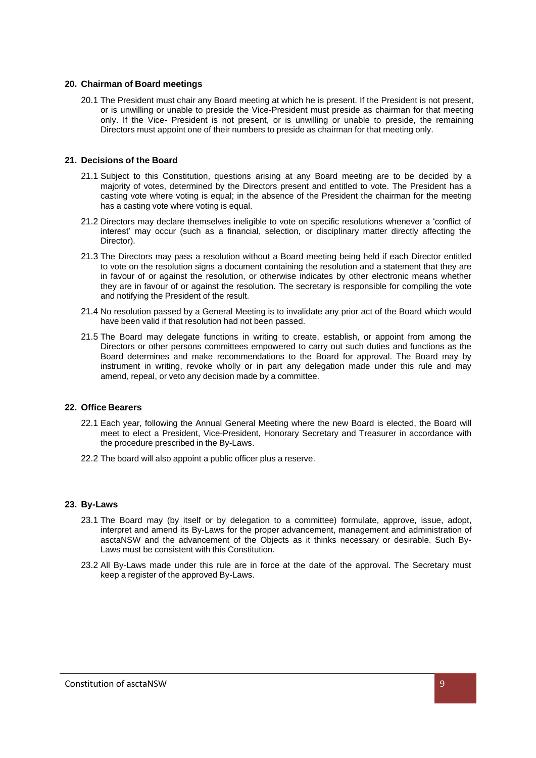#### <span id="page-8-0"></span>**20. Chairman of Board meetings**

20.1 The President must chair any Board meeting at which he is present. If the President is not present, or is unwilling or unable to preside the Vice-President must preside as chairman for that meeting only. If the Vice- President is not present, or is unwilling or unable to preside, the remaining Directors must appoint one of their numbers to preside as chairman for that meeting only.

#### <span id="page-8-1"></span>**21. Decisions of the Board**

- 21.1 Subject to this Constitution, questions arising at any Board meeting are to be decided by a majority of votes, determined by the Directors present and entitled to vote. The President has a casting vote where voting is equal; in the absence of the President the chairman for the meeting has a casting vote where voting is equal.
- 21.2 Directors may declare themselves ineligible to vote on specific resolutions whenever a 'conflict of interest' may occur (such as a financial, selection, or disciplinary matter directly affecting the Director).
- 21.3 The Directors may pass a resolution without a Board meeting being held if each Director entitled to vote on the resolution signs a document containing the resolution and a statement that they are in favour of or against the resolution, or otherwise indicates by other electronic means whether they are in favour of or against the resolution. The secretary is responsible for compiling the vote and notifying the President of the result.
- 21.4 No resolution passed by a General Meeting is to invalidate any prior act of the Board which would have been valid if that resolution had not been passed.
- 21.5 The Board may delegate functions in writing to create, establish, or appoint from among the Directors or other persons committees empowered to carry out such duties and functions as the Board determines and make recommendations to the Board for approval. The Board may by instrument in writing, revoke wholly or in part any delegation made under this rule and may amend, repeal, or veto any decision made by a committee.

#### <span id="page-8-2"></span>**22. Office Bearers**

- 22.1 Each year, following the Annual General Meeting where the new Board is elected, the Board will meet to elect a President, Vice-President, Honorary Secretary and Treasurer in accordance with the procedure prescribed in the By-Laws.
- 22.2 The board will also appoint a public officer plus a reserve.

#### <span id="page-8-3"></span>**23. By-Laws**

- 23.1 The Board may (by itself or by delegation to a committee) formulate, approve, issue, adopt, interpret and amend its By-Laws for the proper advancement, management and administration of asctaNSW and the advancement of the Objects as it thinks necessary or desirable. Such By-Laws must be consistent with this Constitution.
- 23.2 All By-Laws made under this rule are in force at the date of the approval. The Secretary must keep a register of the approved By-Laws.